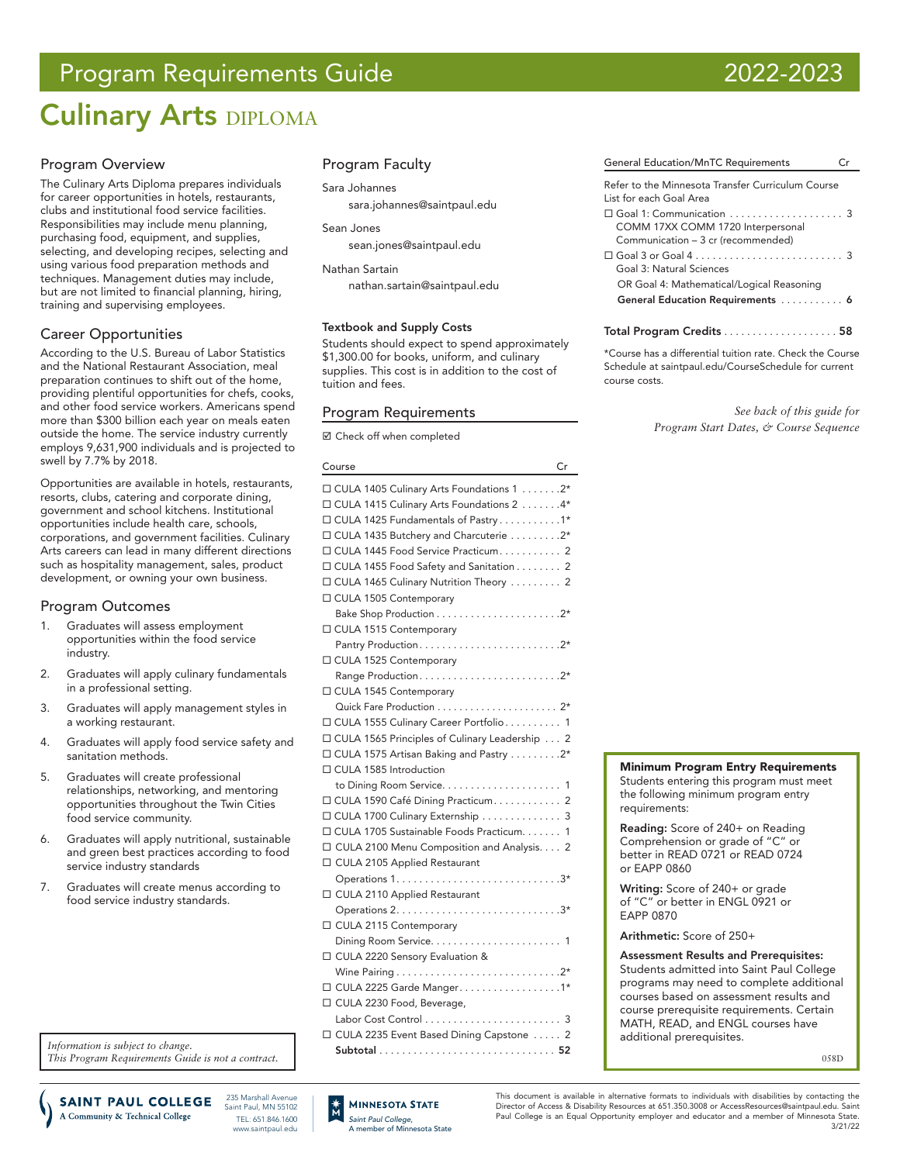# Program Requirements Guide 2022-2023

# **Culinary Arts DIPLOMA**

# Program Overview

The Culinary Arts Diploma prepares individuals for career opportunities in hotels, restaurants, clubs and institutional food service facilities. Responsibilities may include menu planning, purchasing food, equipment, and supplies, selecting, and developing recipes, selecting and using various food preparation methods and techniques. Management duties may include, but are not limited to financial planning, hiring, training and supervising employees.

# Career Opportunities

According to the U.S. Bureau of Labor Statistics and the National Restaurant Association, meal preparation continues to shift out of the home, providing plentiful opportunities for chefs, cooks, and other food service workers. Americans spend more than \$300 billion each year on meals eaten outside the home. The service industry currently employs 9,631,900 individuals and is projected to swell by 7.7% by 2018.

Opportunities are available in hotels, restaurants, resorts, clubs, catering and corporate dining, government and school kitchens. Institutional opportunities include health care, schools, corporations, and government facilities. Culinary Arts careers can lead in many different directions such as hospitality management, sales, product development, or owning your own business.

# Program Outcomes

- 1. Graduates will assess employment opportunities within the food service industry.
- 2. Graduates will apply culinary fundamentals in a professional setting.
- 3. Graduates will apply management styles in a working restaurant.
- 4. Graduates will apply food service safety and sanitation methods.
- 5. Graduates will create professional relationships, networking, and mentoring opportunities throughout the Twin Cities food service community.
- 6. Graduates will apply nutritional, sustainable and green best practices according to food service industry standards
- 7. Graduates will create menus according to food service industry standards.

*Information is subject to change. This Program Requirements Guide is not a contract.*

235 Marshall Avenue **SAINT PAUL COLLEGE** A Community & Technical College

Saint Paul, MN 55102 TEL: 651.846.1600 www.saintpaul.edu

# Program Faculty

Sara Johannes

sara.johannes@saintpaul.edu

Sean Jones

[sean.jones@saintpaul.edu](mailto:sean.jones%40saintpaul.edu%20?subject=)

Nathan Sartain

[nathan.sartain@saintpaul.edu](mailto:nathan.sartain%40saintpaul.edu?subject=)

### Textbook and Supply Costs

Students should expect to spend approximately \$1,300.00 for books, uniform, and culinary supplies. This cost is in addition to the cost of tuition and fees.

# Program Requirements

■ Check off when completed

#### Course Cr

| $\Box$ CULA 1405 Culinary Arts Foundations 1 2* |
|-------------------------------------------------|
| □ CULA 1415 Culinary Arts Foundations 2 4*      |
| $\Box$ CULA 1425 Fundamentals of Pastry 1*      |
| $\Box$ CULA 1435 Butchery and Charcuterie 2*    |
| □ CULA 1445 Food Service Practicum 2            |
| □ CULA 1455 Food Safety and Sanitation 2        |
| □ CULA 1465 Culinary Nutrition Theory  2        |
| □ CULA 1505 Contemporary                        |
|                                                 |
| □ CULA 1515 Contemporary                        |
|                                                 |
| □ CULA 1525 Contemporary                        |
|                                                 |
| □ CULA 1545 Contemporary                        |
|                                                 |
| □ CULA 1555 Culinary Career Portfolio 1         |
| □ CULA 1565 Principles of Culinary Leadership 2 |
| □ CULA 1575 Artisan Baking and Pastry 2*        |
| $\Box$ CULA 1585 Introduction                   |
|                                                 |
| □ CULA 1590 Café Dining Practicum 2             |
| □ CULA 1700 Culinary Externship 3               |
| □ CULA 1705 Sustainable Foods Practicum. 1      |
| □ CULA 2100 Menu Composition and Analysis. 2    |
| □ CULA 2105 Applied Restaurant                  |
|                                                 |
| □ CULA 2110 Applied Restaurant                  |
|                                                 |
| □ CULA 2115 Contemporary                        |
|                                                 |
| □ CULA 2220 Sensory Evaluation &                |
|                                                 |
| □ CULA 2225 Garde Manger. 1*                    |
| □ CULA 2230 Food, Beverage,                     |
|                                                 |
| □ CULA 2235 Event Based Dining Capstone  2      |

Subtotal . . . . . . . . . . . . . . . . . . . . . . . . . . . . . . . 52

*Saint Paul College,* A member of Minnesota State

**MINNESOTA STATE** 

| <b>General Education/MnTC Requirements</b>                                   | $\Gamma$ r |
|------------------------------------------------------------------------------|------------|
| Refer to the Minnesota Transfer Curriculum Course<br>List for each Goal Area |            |
|                                                                              |            |

| $\Box$ Goal 1: Communication $\ldots \ldots \ldots \ldots \ldots$            |  |
|------------------------------------------------------------------------------|--|
| COMM 17XX COMM 1720 Interpersonal                                            |  |
| Communication - 3 cr (recommended)                                           |  |
| $\Box$ Goal 3 or Goal 4 $\ldots \ldots \ldots \ldots \ldots \ldots \ldots 3$ |  |
| Goal 3: Natural Sciences                                                     |  |
| OR Goal 4: Mathematical/Logical Reasoning                                    |  |
| General Education Requirements  6                                            |  |
|                                                                              |  |

Total Program Credits . . . . . . . . . . . . . . . . . . 58

\*Course has a differential tuition rate. Check the Course Schedule at saintpaul.edu/CourseSchedule for current course costs.

> *See back of this guide for Program Start Dates, & Course Sequence*

### Minimum Program Entry Requirements

Students entering this program must meet the following minimum program entry requirements:

Reading: Score of 240+ on Reading Comprehension or grade of "C" or better in READ 0721 or READ 0724 or EAPP 0860

Writing: Score of 240+ or grade of "C" or better in ENGL 0921 or EAPP 0870

Arithmetic: Score of 250+

Assessment Results and Prerequisites: Students admitted into Saint Paul College programs may need to complete additional courses based on assessment results and course prerequisite requirements. Certain MATH, READ, and ENGL courses have additional prerequisites.

058D

This document is available in alternative formats to individuals with disabilities by contacting the Director of Access & Disability Resources at 651.350.3008 or AccessResources@saintpaul.edu. Saint Paul College is an Equal Opportunity employer and educator and a member of Minnesota State. 3/21/22